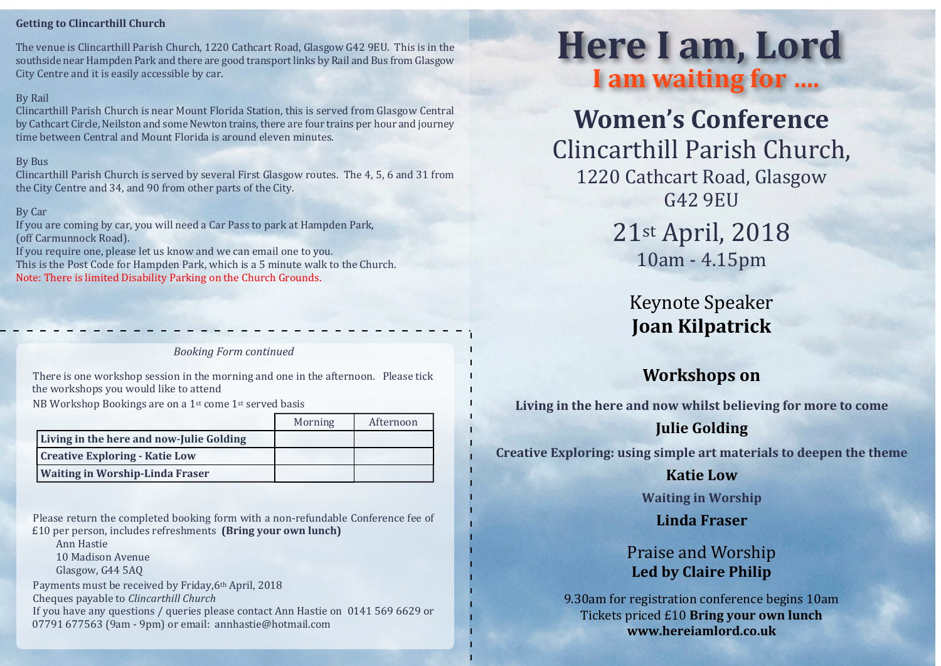#### **Getting to Clincarthill Church**

The venue is Clincarthill Parish Church, 1220 Cathcart Road, Glasgow G42 9EU. This is in the southside near Hampden Park and there are good transport links by Rail and Bus from Glasgow City Centre and it is easily accessible by car.

#### By Rail

Clincarthill Parish Church is near Mount Florida Station, this is served from Glasgow Central by Cathcart Circle, Neilston and some Newton trains, there are four trains per hour and journey time between Central and Mount Florida is around eleven minutes.

#### By Bus

Clincarthill Parish Church is served by several First Glasgow routes. The 4, 5, 6 and 31 from the City Centre and 34, and 90 from other parts of the City.

#### By Car

If you are coming by car, you will need a Car Pass to park at Hampden Park, (off Carmunnock Road).

If you require one, please let us know and we can email one to you. This is the Post Code for Hampden Park, which is a 5 minute walk to the Church. Note: There is limited Disability Parking on the Church Grounds.

*Booking Form continued*

There is one workshop session in the morning and one in the afternoon. Please tick the workshops you would like to attend

NB Workshop Bookings are on a 1st come 1st served basis

|                                          | Morning | Afternoon |
|------------------------------------------|---------|-----------|
| Living in the here and now-Julie Golding |         |           |
| <b>Creative Exploring - Katie Low</b>    |         |           |
| <b>Waiting in Worship-Linda Fraser</b>   |         |           |

Please return the completed booking form with a non-refundable Conference fee of £10 per person, includes refreshments **(Bring your own lunch)**

Ann Hastie

10 Madison Avenue

Glasgow, G44 5AQ

Payments must be received by Friday,6th April, 2018

Cheques payable to *Clincarthill Church*

If you have any questions / queries please contact Ann Hastie on 0141 569 6629 or 07791 677563 (9am - 9pm) or email: annhastie@hotmail.com

# **Here I am, Lord I am waiting for ….**

**Women's Conference** Clincarthill Parish Church, 1220 Cathcart Road, Glasgow G42 9EU

21st April, 2018 10am - 4.15pm

Keynote Speaker **Joan Kilpatrick**

## **Workshops on**

**Living in the here and now whilst believing for more to come**

## **Julie Golding**

**Creative Exploring: using simple art materials to deepen the theme**

#### **Katie Low**

**Waiting in Worship**

## **Linda Fraser**

## Praise and Worship **Led by Claire Philip**

9.30am for registration conference begins 10am Tickets priced £10 **Bring your own lunch www.hereiamlord.co.uk**